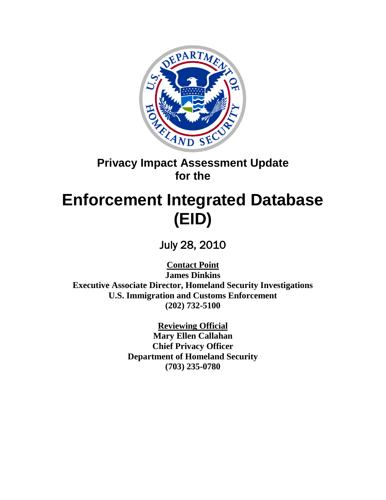

# **Privacy Impact Assessment Update for the**

# **Enforcement Integrated Database (EID)**

July 28, 2010

**Contact Point James Dinkins Executive Associate Director, Homeland Security Investigations U.S. Immigration and Customs Enforcement (202) 732-5100**

> **Reviewing Official Mary Ellen Callahan Chief Privacy Officer Department of Homeland Security (703) 235-0780**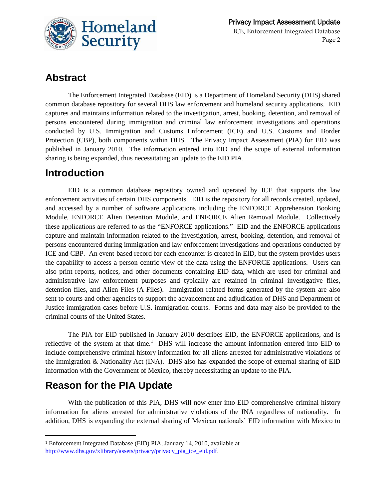

### **Abstract**

The Enforcement Integrated Database (EID) is a Department of Homeland Security (DHS) shared common database repository for several DHS law enforcement and homeland security applications. EID captures and maintains information related to the investigation, arrest, booking, detention, and removal of persons encountered during immigration and criminal law enforcement investigations and operations conducted by U.S. Immigration and Customs Enforcement (ICE) and U.S. Customs and Border Protection (CBP), both components within DHS. The Privacy Impact Assessment (PIA) for EID was published in January 2010. The information entered into EID and the scope of external information sharing is being expanded, thus necessitating an update to the EID PIA.

### **Introduction**

EID is a common database repository owned and operated by ICE that supports the law enforcement activities of certain DHS components. EID is the repository for all records created, updated, and accessed by a number of software applications including the ENFORCE Apprehension Booking Module, ENFORCE Alien Detention Module, and ENFORCE Alien Removal Module. Collectively these applications are referred to as the "ENFORCE applications." EID and the ENFORCE applications capture and maintain information related to the investigation, arrest, booking, detention, and removal of persons encountered during immigration and law enforcement investigations and operations conducted by ICE and CBP. An event-based record for each encounter is created in EID, but the system provides users the capability to access a person-centric view of the data using the ENFORCE applications. Users can also print reports, notices, and other documents containing EID data, which are used for criminal and administrative law enforcement purposes and typically are retained in criminal investigative files, detention files, and Alien Files (A-Files). Immigration related forms generated by the system are also sent to courts and other agencies to support the advancement and adjudication of DHS and Department of Justice immigration cases before U.S. immigration courts. Forms and data may also be provided to the criminal courts of the United States.

The PIA for EID published in January 2010 describes EID, the ENFORCE applications, and is reflective of the system at that time.<sup>1</sup> DHS will increase the amount information entered into EID to include comprehensive criminal history information for all aliens arrested for administrative violations of the Immigration & Nationality Act (INA). DHS also has expanded the scope of external sharing of EID information with the Government of Mexico, thereby necessitating an update to the PIA.

### **Reason for the PIA Update**

 $\overline{a}$ 

With the publication of this PIA, DHS will now enter into EID comprehensive criminal history information for aliens arrested for administrative violations of the INA regardless of nationality. In addition, DHS is expanding the external sharing of Mexican nationals' EID information with Mexico to

<sup>1</sup> Enforcement Integrated Database (EID) PIA, January 14, 2010, available at [http://www.dhs.gov/xlibrary/assets/privacy/privacy\\_pia\\_ice\\_eid.pdf.](http://www.dhs.gov/xlibrary/assets/privacy/privacy_pia_ice_eid.pdf)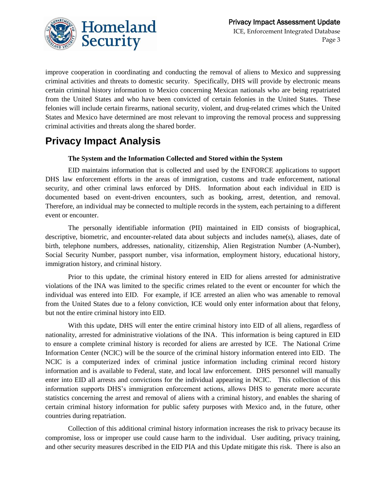

improve cooperation in coordinating and conducting the removal of aliens to Mexico and suppressing criminal activities and threats to domestic security. Specifically, DHS will provide by electronic means certain criminal history information to Mexico concerning Mexican nationals who are being repatriated from the United States and who have been convicted of certain felonies in the United States. These felonies will include certain firearms, national security, violent, and drug-related crimes which the United States and Mexico have determined are most relevant to improving the removal process and suppressing criminal activities and threats along the shared border.

### **Privacy Impact Analysis**

### **The System and the Information Collected and Stored within the System**

EID maintains information that is collected and used by the ENFORCE applications to support DHS law enforcement efforts in the areas of immigration, customs and trade enforcement, national security, and other criminal laws enforced by DHS. Information about each individual in EID is documented based on event-driven encounters, such as booking, arrest, detention, and removal. Therefore, an individual may be connected to multiple records in the system, each pertaining to a different event or encounter.

The personally identifiable information (PII) maintained in EID consists of biographical, descriptive, biometric, and encounter-related data about subjects and includes name(s), aliases, date of birth, telephone numbers, addresses, nationality, citizenship, Alien Registration Number (A-Number), Social Security Number, passport number, visa information, employment history, educational history, immigration history, and criminal history.

Prior to this update, the criminal history entered in EID for aliens arrested for administrative violations of the INA was limited to the specific crimes related to the event or encounter for which the individual was entered into EID. For example, if ICE arrested an alien who was amenable to removal from the United States due to a felony conviction, ICE would only enter information about that felony, but not the entire criminal history into EID.

With this update, DHS will enter the entire criminal history into EID of all aliens, regardless of nationality, arrested for administrative violations of the INA. This information is being captured in EID to ensure a complete criminal history is recorded for aliens are arrested by ICE. The National Crime Information Center (NCIC) will be the source of the criminal history information entered into EID. The NCIC is a computerized index of criminal justice information including criminal record history information and is available to Federal, state, and local law enforcement. DHS personnel will manually enter into EID all arrests and convictions for the individual appearing in NCIC. This collection of this information supports DHS's immigration enforcement actions, allows DHS to generate more accurate statistics concerning the arrest and removal of aliens with a criminal history, and enables the sharing of certain criminal history information for public safety purposes with Mexico and, in the future, other countries during repatriation.

Collection of this additional criminal history information increases the risk to privacy because its compromise, loss or improper use could cause harm to the individual. User auditing, privacy training, and other security measures described in the EID PIA and this Update mitigate this risk. There is also an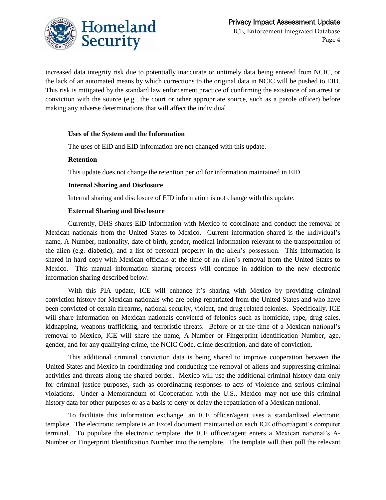

increased data integrity risk due to potentially inaccurate or untimely data being entered from NCIC, or the lack of an automated means by which corrections to the original data in NCIC will be pushed to EID. This risk is mitigated by the standard law enforcement practice of confirming the existence of an arrest or conviction with the source (e.g., the court or other appropriate source, such as a parole officer) before making any adverse determinations that will affect the individual.

#### **Uses of the System and the Information**

The uses of EID and EID information are not changed with this update.

#### **Retention**

This update does not change the retention period for information maintained in EID.

#### **Internal Sharing and Disclosure**

Internal sharing and disclosure of EID information is not change with this update.

#### **External Sharing and Disclosure**

Currently, DHS shares EID information with Mexico to coordinate and conduct the removal of Mexican nationals from the United States to Mexico. Current information shared is the individual's name, A-Number, nationality, date of birth, gender, medical information relevant to the transportation of the alien (e.g. diabetic), and a list of personal property in the alien's possession. This information is shared in hard copy with Mexican officials at the time of an alien's removal from the United States to Mexico. This manual information sharing process will continue in addition to the new electronic information sharing described below.

With this PIA update, ICE will enhance it's sharing with Mexico by providing criminal conviction history for Mexican nationals who are being repatriated from the United States and who have been convicted of certain firearms, national security, violent, and drug related felonies. Specifically, ICE will share information on Mexican nationals convicted of felonies such as homicide, rape, drug sales, kidnapping, weapons trafficking, and terroristic threats. Before or at the time of a Mexican national's removal to Mexico, ICE will share the name, A-Number or Fingerprint Identification Number, age, gender, and for any qualifying crime, the NCIC Code, crime description, and date of conviction.

This additional criminal conviction data is being shared to improve cooperation between the United States and Mexico in coordinating and conducting the removal of aliens and suppressing criminal activities and threats along the shared border. Mexico will use the additional criminal history data only for criminal justice purposes, such as coordinating responses to acts of violence and serious criminal violations. Under a Memorandum of Cooperation with the U.S., Mexico may not use this criminal history data for other purposes or as a basis to deny or delay the repatriation of a Mexican national.

To facilitate this information exchange, an ICE officer/agent uses a standardized electronic template. The electronic template is an Excel document maintained on each ICE officer/agent's computer terminal. To populate the electronic template, the ICE officer/agent enters a Mexican national's A-Number or Fingerprint Identification Number into the template. The template will then pull the relevant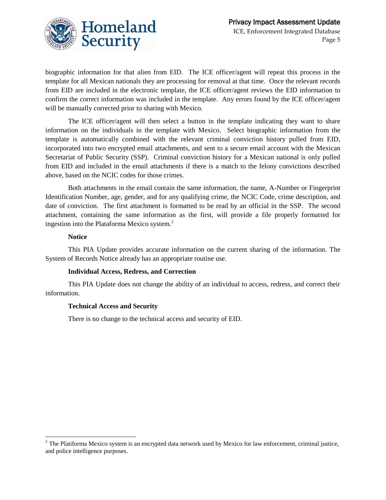

biographic information for that alien from EID. The ICE officer/agent will repeat this process in the template for all Mexican nationals they are processing for removal at that time. Once the relevant records from EID are included in the electronic template, the ICE officer/agent reviews the EID information to confirm the correct information was included in the template. Any errors found by the ICE officer/agent will be manually corrected prior to sharing with Mexico.

The ICE officer/agent will then select a button in the template indicating they want to share information on the individuals in the template with Mexico. Select biographic information from the template is automatically combined with the relevant criminal conviction history pulled from EID, incorporated into two encrypted email attachments, and sent to a secure email account with the Mexican Secretariat of Public Security (SSP). Criminal conviction history for a Mexican national is only pulled from EID and included in the email attachments if there is a match to the felony convictions described above, based on the NCIC codes for those crimes.

Both attachments in the email contain the same information, the name, A-Number or Fingerprint Identification Number, age, gender, and for any qualifying crime, the NCIC Code, crime description, and date of conviction. The first attachment is formatted to be read by an official in the SSP. The second attachment, containing the same information as the first, will provide a file properly formatted for ingestion into the Plataforma Mexico system.<sup>2</sup>

#### **Notice**

This PIA Update provides accurate information on the current sharing of the information. The System of Records Notice already has an appropriate routine use.

#### **Individual Access, Redress, and Correction**

This PIA Update does not change the ability of an individual to access, redress, and correct their information.

#### **Technical Access and Security**

There is no change to the technical access and security of EID.

<sup>1</sup>  $2^2$  The Platiforma Mexico system is an encrypted data network used by Mexico for law enforcement, criminal justice, and police intelligence purposes.